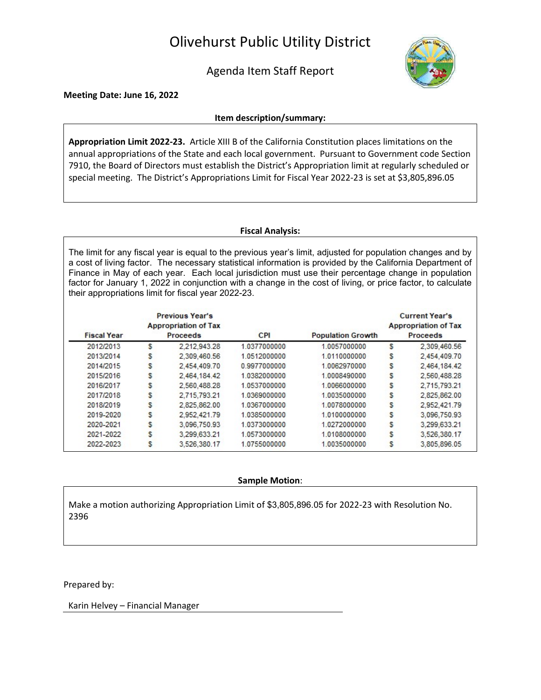# Olivehurst Public Utility District

Agenda Item Staff Report



Meeting Date: June 16, 2022

#### Item description/summary:

Appropriation Limit 2022-23. Article XIII B of the California Constitution places limitations on the annual appropriations of the State and each local government. Pursuant to Government code Section 7910, the Board of Directors must establish the District's Appropriation limit at regularly scheduled or special meeting. The District's Appropriations Limit for Fiscal Year 2022-23 is set at \$3,805,896.05

### Fiscal Analysis:

The limit for any fiscal year is equal to the previous year's limit, adjusted for population changes and by a cost of living factor. The necessary statistical information is provided by the California Department of Finance in May of each year. Each local jurisdiction must use their percentage change in population factor for January 1, 2022 in conjunction with a change in the cost of living, or price factor, to calculate their appropriations limit for fiscal year 2022-23.

| <b>Fiscal Year</b> | <b>Previous Year's</b><br><b>Appropriation of Tax</b><br><b>Proceeds</b> |              | <b>CPI</b>   | <b>Population Growth</b> | <b>Current Year's</b><br><b>Appropriation of Tax</b><br><b>Proceeds</b> |              |
|--------------------|--------------------------------------------------------------------------|--------------|--------------|--------------------------|-------------------------------------------------------------------------|--------------|
| 2012/2013          | s                                                                        | 2,212,943.28 | 1.0377000000 | 1.0057000000             | s                                                                       | 2,309,460.56 |
| 2013/2014          | s                                                                        | 2.309.460.56 | 1.0512000000 | 1.0110000000             | s                                                                       | 2.454.409.70 |
| 2014/2015          | s                                                                        | 2.454.409.70 | 0.9977000000 | 1.0062970000             | s                                                                       | 2,464,184.42 |
| 2015/2016          | s                                                                        | 2.464.184.42 | 1.0382000000 | 1.0008490000             | s                                                                       | 2,560,488.28 |
| 2016/2017          | s                                                                        | 2,560,488.28 | 1.0537000000 | 1.0066000000             | s                                                                       | 2,715,793.21 |
| 2017/2018          | s                                                                        | 2.715.793.21 | 1.0369000000 | 1.0035000000             | s                                                                       | 2,825,862.00 |
| 2018/2019          | s                                                                        | 2,825,862.00 | 1.0367000000 | 1.0078000000             | s                                                                       | 2.952.421.79 |
| 2019-2020          | s                                                                        | 2,952,421.79 | 1.0385000000 | 1.0100000000             | s                                                                       | 3,096,750.93 |
| 2020-2021          | s                                                                        | 3.096.750.93 | 1.0373000000 | 1.0272000000             | S                                                                       | 3,299,633.21 |
| 2021-2022          | s                                                                        | 3.299.633.21 | 1.0573000000 | 1.0108000000             | s                                                                       | 3.526.380.17 |
| 2022-2023          | s                                                                        | 3,526,380.17 | 1.0755000000 | 1.0035000000             | s                                                                       | 3,805,896.05 |

### Sample Motion:

Make a motion authorizing Appropriation Limit of \$3,805,896.05 for 2022-23 with Resolution No. 2396

Prepared by:

Karin Helvey – Financial Manager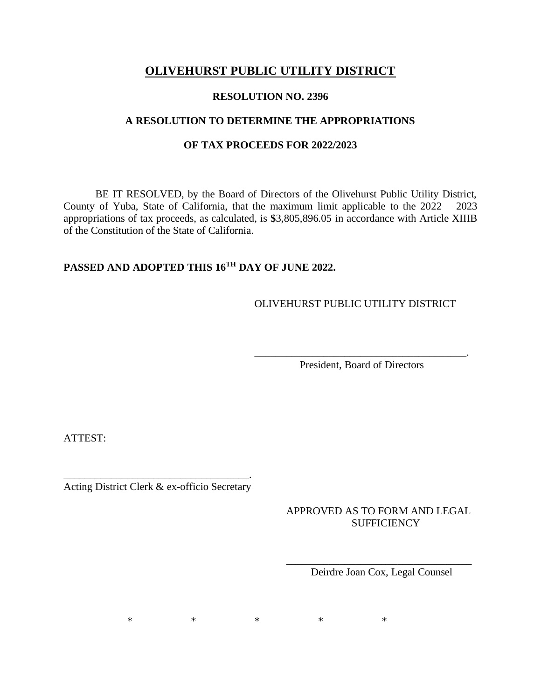# **OLIVEHURST PUBLIC UTILITY DISTRICT**

### **RESOLUTION NO. 2396**

# **A RESOLUTION TO DETERMINE THE APPROPRIATIONS**

# **OF TAX PROCEEDS FOR 2022/2023**

BE IT RESOLVED, by the Board of Directors of the Olivehurst Public Utility District, County of Yuba, State of California, that the maximum limit applicable to the 2022 – 2023 appropriations of tax proceeds, as calculated, is **\$**3,805,896.05 in accordance with Article XIIIB of the Constitution of the State of California.

# **PASSED AND ADOPTED THIS 16 TH DAY OF JUNE 2022.**

OLIVEHURST PUBLIC UTILITY DISTRICT

\_\_\_\_\_\_\_\_\_\_\_\_\_\_\_\_\_\_\_\_\_\_\_\_\_\_\_\_\_\_\_\_\_\_\_\_\_\_\_\_. President, Board of Directors

ATTEST:

\_\_\_\_\_\_\_\_\_\_\_\_\_\_\_\_\_\_\_\_\_\_\_\_\_\_\_\_\_\_\_\_\_\_\_. Acting District Clerk & ex-officio Secretary

> APPROVED AS TO FORM AND LEGAL **SUFFICIENCY**

\_\_\_\_\_\_\_\_\_\_\_\_\_\_\_\_\_\_\_\_\_\_\_\_\_\_\_\_\_\_\_\_\_\_\_ Deirdre Joan Cox, Legal Counsel

 $*$  \* \* \* \* \*